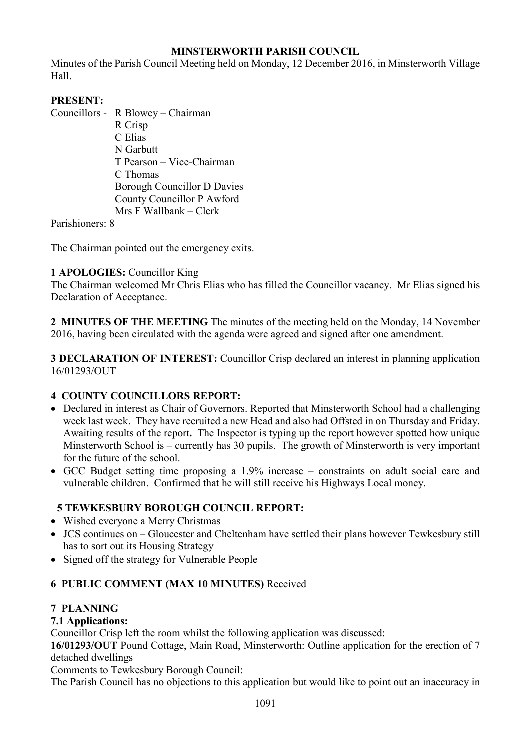# **MINSTERWORTH PARISH COUNCIL**

Minutes of the Parish Council Meeting held on Monday, 12 December 2016, in Minsterworth Village Hall.

# **PRESENT:**

Councillors - R Blowey – Chairman

 R Crisp C Elias N Garbutt T Pearson – Vice-Chairman C Thomas Borough Councillor D Davies County Councillor P Awford Mrs F Wallbank – Clerk

Parishioners: 8

The Chairman pointed out the emergency exits.

### **1 APOLOGIES:** Councillor King

The Chairman welcomed Mr Chris Elias who has filled the Councillor vacancy. Mr Elias signed his Declaration of Acceptance.

**2 MINUTES OF THE MEETING** The minutes of the meeting held on the Monday, 14 November 2016, having been circulated with the agenda were agreed and signed after one amendment.

**3 DECLARATION OF INTEREST:** Councillor Crisp declared an interest in planning application 16/01293/OUT

# **4 COUNTY COUNCILLORS REPORT:**

- Declared in interest as Chair of Governors. Reported that Minsterworth School had a challenging week last week. They have recruited a new Head and also had Offsted in on Thursday and Friday. Awaiting results of the report**.** The Inspector is typing up the report however spotted how unique Minsterworth School is – currently has 30 pupils. The growth of Minsterworth is very important for the future of the school.
- GCC Budget setting time proposing a 1.9% increase constraints on adult social care and vulnerable children. Confirmed that he will still receive his Highways Local money.

# **5 TEWKESBURY BOROUGH COUNCIL REPORT:**

- Wished everyone a Merry Christmas
- JCS continues on Gloucester and Cheltenham have settled their plans however Tewkesbury still has to sort out its Housing Strategy
- Signed off the strategy for Vulnerable People

# **6 PUBLIC COMMENT (MAX 10 MINUTES)** Received

### **7 PLANNING**

# **7.1 Applications:**

Councillor Crisp left the room whilst the following application was discussed:

**16/01293/OUT** Pound Cottage, Main Road, Minsterworth: Outline application for the erection of 7 detached dwellings

Comments to Tewkesbury Borough Council:

The Parish Council has no objections to this application but would like to point out an inaccuracy in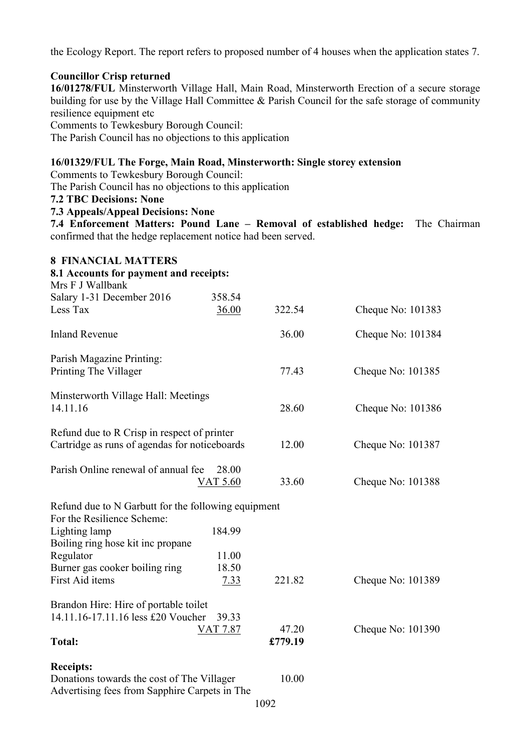the Ecology Report. The report refers to proposed number of 4 houses when the application states 7.

### **Councillor Crisp returned**

**16/01278/FUL** Minsterworth Village Hall, Main Road, Minsterworth Erection of a secure storage building for use by the Village Hall Committee & Parish Council for the safe storage of community resilience equipment etc

Comments to Tewkesbury Borough Council:

The Parish Council has no objections to this application

#### **16/01329/FUL The Forge, Main Road, Minsterworth: Single storey extension**

Comments to Tewkesbury Borough Council:

The Parish Council has no objections to this application

**7.2 TBC Decisions: None** 

#### **7.3 Appeals/Appeal Decisions: None**

**7.4 Enforcement Matters: Pound Lane – Removal of established hedge:** The Chairman confirmed that the hedge replacement notice had been served.

| <b>8 FINANCIAL MATTERS</b>                                                                  |                 |         |                   |
|---------------------------------------------------------------------------------------------|-----------------|---------|-------------------|
| 8.1 Accounts for payment and receipts:<br>Mrs F J Wallbank                                  |                 |         |                   |
| Salary 1-31 December 2016                                                                   | 358.54          |         |                   |
| Less Tax                                                                                    | 36.00           | 322.54  | Cheque No: 101383 |
| <b>Inland Revenue</b>                                                                       |                 | 36.00   | Cheque No: 101384 |
| Parish Magazine Printing:                                                                   |                 |         |                   |
| Printing The Villager                                                                       |                 | 77.43   | Cheque No: 101385 |
| Minsterworth Village Hall: Meetings                                                         |                 |         |                   |
| 14.11.16                                                                                    |                 | 28.60   | Cheque No: 101386 |
| Refund due to R Crisp in respect of printer                                                 |                 |         |                   |
| Cartridge as runs of agendas for noticeboards                                               |                 | 12.00   | Cheque No: 101387 |
| Parish Online renewal of annual fee                                                         | 28.00           |         |                   |
|                                                                                             | <b>VAT 5.60</b> | 33.60   | Cheque No: 101388 |
| Refund due to N Garbutt for the following equipment                                         |                 |         |                   |
| For the Resilience Scheme:                                                                  |                 |         |                   |
| Lighting lamp                                                                               | 184.99          |         |                   |
| Boiling ring hose kit inc propane<br>Regulator                                              | 11.00           |         |                   |
| Burner gas cooker boiling ring                                                              | 18.50           |         |                   |
| First Aid items                                                                             | <u>7.33</u>     | 221.82  | Cheque No: 101389 |
| Brandon Hire: Hire of portable toilet                                                       |                 |         |                   |
| 14.11.16-17.11.16 less £20 Voucher                                                          | 39.33           |         |                   |
|                                                                                             | VAT 7.87        | 47.20   | Cheque No: 101390 |
| <b>Total:</b>                                                                               |                 | £779.19 |                   |
| <b>Receipts:</b>                                                                            |                 |         |                   |
| Donations towards the cost of The Villager<br>Advertising fees from Sapphire Carpets in The |                 | 10.00   |                   |

#### 1092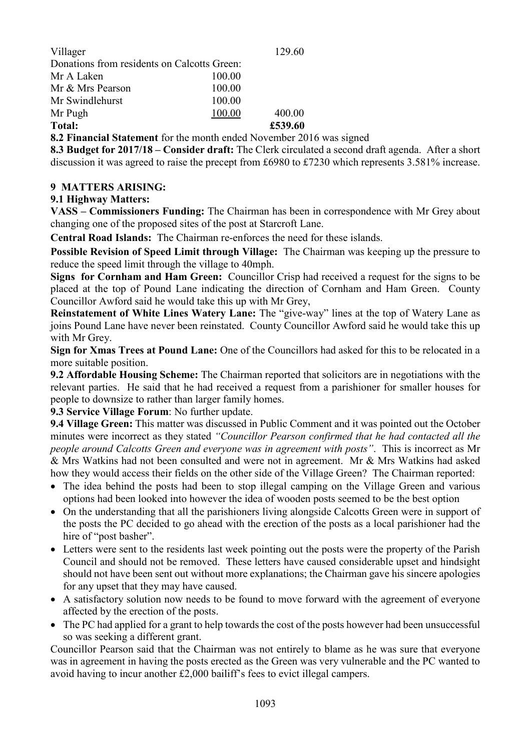| Villager                                    |        | 129.60  |
|---------------------------------------------|--------|---------|
| Donations from residents on Calcotts Green: |        |         |
| Mr A Laken                                  | 100.00 |         |
| Mr & Mrs Pearson                            | 100.00 |         |
| Mr Swindlehurst                             | 100.00 |         |
| Mr Pugh                                     | 100.00 | 400.00  |
| <b>Total:</b>                               |        | £539.60 |

**8.2 Financial Statement** for the month ended November 2016 was signed

**8.3 Budget for 2017/18 – Consider draft:** The Clerk circulated a second draft agenda. After a short discussion it was agreed to raise the precept from £6980 to £7230 which represents 3.581% increase.

#### **9 MATTERS ARISING:**

#### **9.1 Highway Matters:**

**VASS – Commissioners Funding:** The Chairman has been in correspondence with Mr Grey about changing one of the proposed sites of the post at Starcroft Lane.

**Central Road Islands:** The Chairman re-enforces the need for these islands.

**Possible Revision of Speed Limit through Village:** The Chairman was keeping up the pressure to reduce the speed limit through the village to 40mph.

**Signs for Cornham and Ham Green:** Councillor Crisp had received a request for the signs to be placed at the top of Pound Lane indicating the direction of Cornham and Ham Green. County Councillor Awford said he would take this up with Mr Grey,

**Reinstatement of White Lines Watery Lane:** The "give-way" lines at the top of Watery Lane as joins Pound Lane have never been reinstated. County Councillor Awford said he would take this up with Mr Grey.

**Sign for Xmas Trees at Pound Lane:** One of the Councillors had asked for this to be relocated in a more suitable position.

**9.2 Affordable Housing Scheme:** The Chairman reported that solicitors are in negotiations with the relevant parties. He said that he had received a request from a parishioner for smaller houses for people to downsize to rather than larger family homes.

**9.3 Service Village Forum**: No further update.

**9.4 Village Green:** This matter was discussed in Public Comment and it was pointed out the October minutes were incorrect as they stated *"Councillor Pearson confirmed that he had contacted all the people around Calcotts Green and everyone was in agreement with posts"*. This is incorrect as Mr & Mrs Watkins had not been consulted and were not in agreement. Mr & Mrs Watkins had asked how they would access their fields on the other side of the Village Green? The Chairman reported:

- The idea behind the posts had been to stop illegal camping on the Village Green and various options had been looked into however the idea of wooden posts seemed to be the best option
- On the understanding that all the parishioners living alongside Calcotts Green were in support of the posts the PC decided to go ahead with the erection of the posts as a local parishioner had the hire of "post basher".
- Letters were sent to the residents last week pointing out the posts were the property of the Parish Council and should not be removed. These letters have caused considerable upset and hindsight should not have been sent out without more explanations; the Chairman gave his sincere apologies for any upset that they may have caused.
- A satisfactory solution now needs to be found to move forward with the agreement of everyone affected by the erection of the posts.
- The PC had applied for a grant to help towards the cost of the posts however had been unsuccessful so was seeking a different grant.

Councillor Pearson said that the Chairman was not entirely to blame as he was sure that everyone was in agreement in having the posts erected as the Green was very vulnerable and the PC wanted to avoid having to incur another £2,000 bailiff's fees to evict illegal campers.